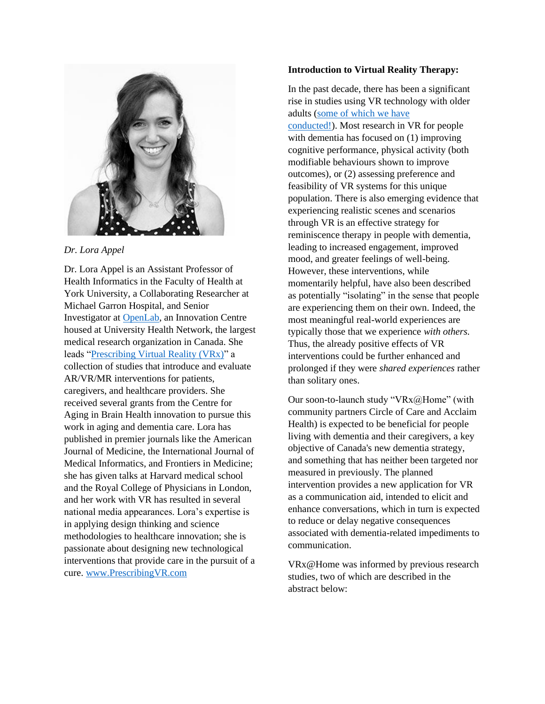

*Dr. Lora Appel*

Dr. Lora Appel is an Assistant Professor of Health Informatics in the Faculty of Health at York University, a Collaborating Researcher at Michael Garron Hospital, and Senior Investigator at [OpenLab,](http://uhnopenlab.ca/) an Innovation Centre housed at University Health Network, the largest medical research organization in Canada. She leads ["Prescribing Virtual Reality \(VRx\)"](www.PrescribingVR.com) a collection of studies that introduce and evaluate AR/VR/MR interventions for patients, caregivers, and healthcare providers. She received several grants from the Centre for Aging in Brain Health innovation to pursue this work in aging and dementia care. Lora has published in premier journals like the American Journal of Medicine, the International Journal of Medical Informatics, and Frontiers in Medicine; she has given talks at Harvard medical school and the Royal College of Physicians in London, and her work with VR has resulted in several national media appearances. Lora's expertise is in applying design thinking and science methodologies to healthcare innovation; she is passionate about designing new technological interventions that provide care in the pursuit of a cure. [www.PrescribingVR.com](http://www.prescribingvr.com/)

## **Introduction to Virtual Reality Therapy:**

In the past decade, there has been a significant rise in studies using VR technology with older adults [\(some of which we have](http://www.prescribingvr.com/)  [conducted!\)](http://www.prescribingvr.com/). Most research in VR for people with dementia has focused on (1) improving cognitive performance, physical activity (both modifiable behaviours shown to improve outcomes), or (2) assessing preference and feasibility of VR systems for this unique population. There is also emerging evidence that experiencing realistic scenes and scenarios through VR is an effective strategy for reminiscence therapy in people with dementia, leading to increased engagement, improved mood, and greater feelings of well-being. However, these interventions, while momentarily helpful, have also been described as potentially "isolating" in the sense that people are experiencing them on their own. Indeed, the most meaningful real-world experiences are typically those that we experience *with others.* Thus, the already positive effects of VR interventions could be further enhanced and prolonged if they were *shared experiences* rather than solitary ones.

Our soon-to-launch study "VRx@Home" (with community partners Circle of Care and Acclaim Health) is expected to be beneficial for people living with dementia and their caregivers, a key objective of Canada's new dementia strategy, and something that has neither been targeted nor measured in previously. The planned intervention provides a new application for VR as a communication aid, intended to elicit and enhance conversations, which in turn is expected to reduce or delay negative consequences associated with dementia-related impediments to communication.

VRx@Home was informed by previous research studies, two of which are described in the abstract below: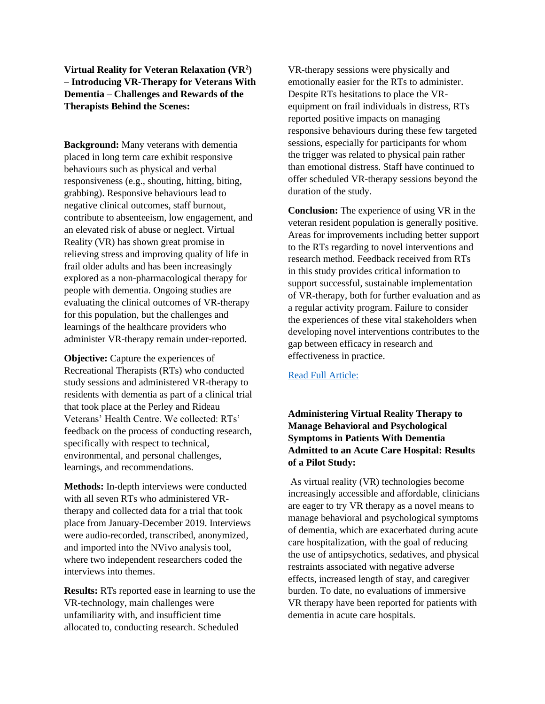**Virtual Reality for Veteran Relaxation (VR<sup>2</sup> ) – Introducing VR-Therapy for Veterans With Dementia – Challenges and Rewards of the Therapists Behind the Scenes:**

**Background:** Many veterans with dementia placed in long term care exhibit responsive behaviours such as physical and verbal responsiveness (e.g., shouting, hitting, biting, grabbing). Responsive behaviours lead to negative clinical outcomes, staff burnout, contribute to absenteeism, low engagement, and an elevated risk of abuse or neglect. Virtual Reality (VR) has shown great promise in relieving stress and improving quality of life in frail older adults and has been increasingly explored as a non-pharmacological therapy for people with dementia. Ongoing studies are evaluating the clinical outcomes of VR-therapy for this population, but the challenges and learnings of the healthcare providers who administer VR-therapy remain under-reported.

**Objective:** Capture the experiences of Recreational Therapists (RTs) who conducted study sessions and administered VR-therapy to residents with dementia as part of a clinical trial that took place at the Perley and Rideau Veterans' Health Centre. We collected: RTs' feedback on the process of conducting research, specifically with respect to technical, environmental, and personal challenges, learnings, and recommendations.

**Methods:** In-depth interviews were conducted with all seven RTs who administered VRtherapy and collected data for a trial that took place from January-December 2019. Interviews were audio-recorded, transcribed, anonymized, and imported into the NVivo analysis tool, where two independent researchers coded the interviews into themes.

**Results:** RTs reported ease in learning to use the VR-technology, main challenges were unfamiliarity with, and insufficient time allocated to, conducting research. Scheduled

VR-therapy sessions were physically and emotionally easier for the RTs to administer. Despite RTs hesitations to place the VRequipment on frail individuals in distress, RTs reported positive impacts on managing responsive behaviours during these few targeted sessions, especially for participants for whom the trigger was related to physical pain rather than emotional distress. Staff have continued to offer scheduled VR-therapy sessions beyond the duration of the study.

**Conclusion:** The experience of using VR in the veteran resident population is generally positive. Areas for improvements including better support to the RTs regarding to novel interventions and research method. Feedback received from RTs in this study provides critical information to support successful, sustainable implementation of VR-therapy, both for further evaluation and as a regular activity program. Failure to consider the experiences of these vital stakeholders when developing novel interventions contributes to the gap between efficacy in research and effectiveness in practice.

## [Read Full Article:](https://www.frontiersin.org/articles/10.3389/frvir.2021.720523/full)

## **Administering Virtual Reality Therapy to Manage Behavioral and Psychological Symptoms in Patients With Dementia Admitted to an Acute Care Hospital: Results of a Pilot Study:**

As virtual reality (VR) technologies become increasingly accessible and affordable, clinicians are eager to try VR therapy as a novel means to manage behavioral and psychological symptoms of dementia, which are exacerbated during acute care hospitalization, with the goal of reducing the use of antipsychotics, sedatives, and physical restraints associated with negative adverse effects, increased length of stay, and caregiver burden. To date, no evaluations of immersive VR therapy have been reported for patients with dementia in acute care hospitals.